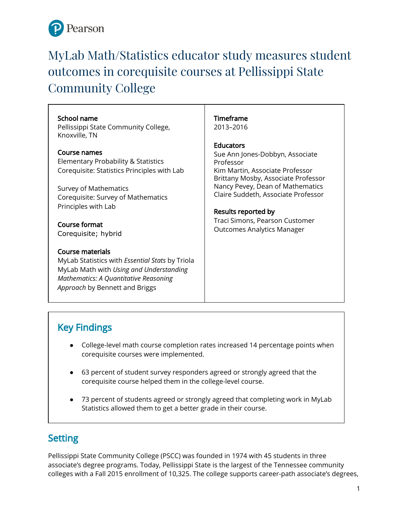

# MyLab Math/Statistics educator study measures student outcomes in corequisite courses at Pellissippi State Community College

### School name

Pellissippi State Community College, Knoxville, TN

### Course names

Elementary Probability & Statistics Corequisite: Statistics Principles with Lab

Survey of Mathematics Corequisite: Survey of Mathematics Principles with Lab

Course format Corequisite; hybrid

### Course materials

MyLab Statistics with *Essential Stats* by Triola MyLab Math with *Using and Understanding Mathematics: A Quantitative Reasoning Approach* by Bennett and Briggs

### Timeframe

2013–2016

### Educators

Sue Ann Jones-Dobbyn, Associate Professor Kim Martin, Associate Professor Brittany Mosby, Associate Professor Nancy Pevey, Dean of Mathematics Claire Suddeth, Associate Professor

### Results reported by

Traci Simons, Pearson Customer Outcomes Analytics Manager

# Key Findings

- College-level math course completion rates increased 14 percentage points when corequisite courses were implemented.
- 63 percent of student survey responders agreed or strongly agreed that the corequisite course helped them in the college-level course.
- 73 percent of students agreed or strongly agreed that completing work in MyLab Statistics allowed them to get a better grade in their course.

# **Setting**

Pellissippi State Community College (PSCC) was founded in 1974 with 45 students in three associate's degree programs. Today, Pellissippi State is the largest of the Tennessee community colleges with a Fall 2015 enrollment of 10,325. The college supports career-path associate's degrees,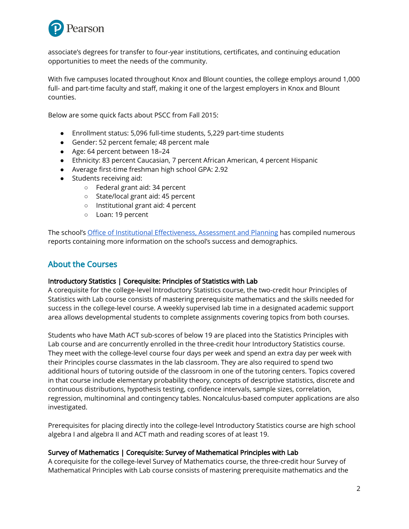

associate's degrees for transfer to four-year institutions, certificates, and continuing education opportunities to meet the needs of the community.

With five campuses located throughout Knox and Blount counties, the college employs around 1,000 full- and part-time faculty and staff, making it one of the largest employers in Knox and Blount counties.

Below are some quick facts about PSCC from Fall 2015:

- Enrollment status: 5,096 full-time students, 5,229 part-time students
- Gender: 52 percent female; 48 percent male
- Age: 64 percent between 18–24
- Ethnicity: 83 percent Caucasian, 7 percent African American, 4 percent Hispanic
- Average first-time freshman high school GPA: 2.92
- Students receiving aid:
	- Federal grant aid: 34 percent
	- State/local grant aid: 45 percent
	- Institutional grant aid: 4 percent
	- Loan: 19 percent

The school's Office of Institutional [Effectiveness,](http://www.pstcc.edu/ieap/index.php) Assessment and Planning has compiled numerous reports containing more information on the school's success and demographics.

### About the Courses

### Introductory Statistics | Corequisite: Principles of Statistics with Lab

A corequisite for the college-level Introductory Statistics course, the two-credit hour Principles of Statistics with Lab course consists of mastering prerequisite mathematics and the skills needed for success in the college-level course. A weekly supervised lab time in a designated academic support area allows developmental students to complete assignments covering topics from both courses.

Students who have Math ACT sub-scores of below 19 are placed into the Statistics Principles with Lab course and are concurrently enrolled in the three-credit hour Introductory Statistics course. They meet with the college-level course four days per week and spend an extra day per week with their Principles course classmates in the lab classroom. They are also required to spend two additional hours of tutoring outside of the classroom in one of the tutoring centers. Topics covered in that course include elementary probability theory, concepts of descriptive statistics, discrete and continuous distributions, hypothesis testing, confidence intervals, sample sizes, correlation, regression, multinominal and contingency tables. Noncalculus-based computer applications are also investigated.

Prerequisites for placing directly into the college-level Introductory Statistics course are high school algebra I and algebra II and ACT math and reading scores of at least 19.

### Survey of Mathematics | Corequisite: Survey of Mathematical Principles with Lab

A corequisite for the college-level Survey of Mathematics course, the three-credit hour Survey of Mathematical Principles with Lab course consists of mastering prerequisite mathematics and the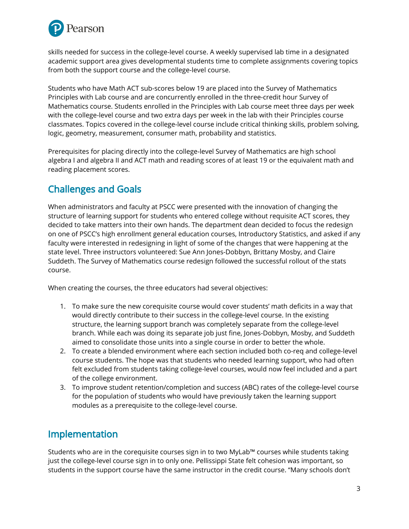

skills needed for success in the college-level course. A weekly supervised lab time in a designated academic support area gives developmental students time to complete assignments covering topics from both the support course and the college-level course.

Students who have Math ACT sub-scores below 19 are placed into the Survey of Mathematics Principles with Lab course and are concurrently enrolled in the three-credit hour Survey of Mathematics course. Students enrolled in the Principles with Lab course meet three days per week with the college-level course and two extra days per week in the lab with their Principles course classmates. Topics covered in the college-level course include critical thinking skills, problem solving, logic, geometry, measurement, consumer math, probability and statistics.

Prerequisites for placing directly into the college-level Survey of Mathematics are high school algebra I and algebra II and ACT math and reading scores of at least 19 or the equivalent math and reading placement scores.

# Challenges and Goals

When administrators and faculty at PSCC were presented with the innovation of changing the structure of learning support for students who entered college without requisite ACT scores, they decided to take matters into their own hands. The department dean decided to focus the redesign on one of PSCC's high enrollment general education courses, Introductory Statistics, and asked if any faculty were interested in redesigning in light of some of the changes that were happening at the state level. Three instructors volunteered: Sue Ann Jones-Dobbyn, Brittany Mosby, and Claire Suddeth. The Survey of Mathematics course redesign followed the successful rollout of the stats course.

When creating the courses, the three educators had several objectives:

- 1. To make sure the new corequisite course would cover students' math deficits in a way that would directly contribute to their success in the college-level course. In the existing structure, the learning support branch was completely separate from the college-level branch. While each was doing its separate job just fine, Jones-Dobbyn, Mosby, and Suddeth aimed to consolidate those units into a single course in order to better the whole.
- 2. To create a blended environment where each section included both co-req and college-level course students. The hope was that students who needed learning support, who had often felt excluded from students taking college-level courses, would now feel included and a part of the college environment.
- 3. To improve student retention/completion and success (ABC) rates of the college-level course for the population of students who would have previously taken the learning support modules as a prerequisite to the college-level course.

# Implementation

Students who are in the corequisite courses sign in to two MyLab™ courses while students taking just the college-level course sign in to only one. Pellissippi State felt cohesion was important, so students in the support course have the same instructor in the credit course. "Many schools don't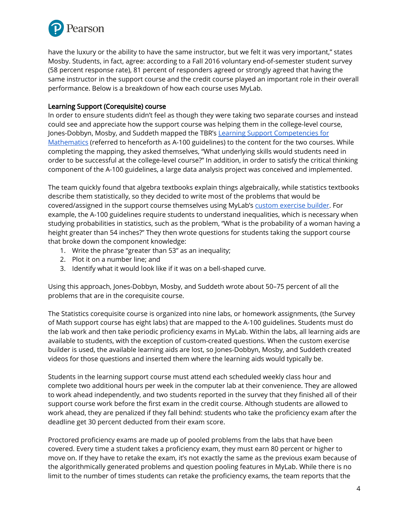

have the luxury or the ability to have the same instructor, but we felt it was very important," states Mosby. Students, in fact, agree: according to a Fall 2016 voluntary end-of-semester student survey (58 percent response rate), 81 percent of responders agreed or strongly agreed that having the same instructor in the support course and the credit course played an important role in their overall performance. Below is a breakdown of how each course uses MyLab.

### Learning Support (Corequisite) course

In order to ensure students didn't feel as though they were taking two separate courses and instead could see and appreciate how the support course was helping them in the college-level course, Jones-Dobbyn, Mosby, and Suddeth mapped the TBR's Learning Support [Competencies](https://www.tbr.edu/academics/co-requisite-remediation) for [Mathematics](https://www.tbr.edu/academics/co-requisite-remediation) (referred to henceforth as A-100 guidelines) to the content for the two courses. While completing the mapping, they asked themselves, "What underlying skills would students need in order to be successful at the college-level course?" In addition, in order to satisfy the critical thinking component of the A-100 guidelines, a large data analysis project was conceived and implemented.

The team quickly found that algebra textbooks explain things algebraically, while statistics textbooks describe them statistically, so they decided to write most of the problems that would be covered/assigned in the support course themselves using MyLab's custom [exercise](https://www.youtube.com/watch?v=561zIGltLvc&t=41s&list=PL664C85F3DD454CF0) builder. For example, the A-100 guidelines require students to understand inequalities, which is necessary when studying probabilities in statistics, such as the problem, "What is the probability of a woman having a height greater than 54 inches?" They then wrote questions for students taking the support course that broke down the component knowledge:

- 1. Write the phrase "greater than 53" as an inequality;
- 2. Plot it on a number line; and
- 3. Identify what it would look like if it was on a bell-shaped curve.

Using this approach, Jones-Dobbyn, Mosby, and Suddeth wrote about 50–75 percent of all the problems that are in the corequisite course.

The Statistics corequisite course is organized into nine labs, or homework assignments, (the Survey of Math support course has eight labs) that are mapped to the A-100 guidelines. Students must do the lab work and then take periodic proficiency exams in MyLab. Within the labs, all learning aids are available to students, with the exception of custom-created questions. When the custom exercise builder is used, the available learning aids are lost, so Jones-Dobbyn, Mosby, and Suddeth created videos for those questions and inserted them where the learning aids would typically be.

Students in the learning support course must attend each scheduled weekly class hour and complete two additional hours per week in the computer lab at their convenience. They are allowed to work ahead independently, and two students reported in the survey that they finished all of their support course work before the first exam in the credit course. Although students are allowed to work ahead, they are penalized if they fall behind: students who take the proficiency exam after the deadline get 30 percent deducted from their exam score.

Proctored proficiency exams are made up of pooled problems from the labs that have been covered. Every time a student takes a proficiency exam, they must earn 80 percent or higher to move on. If they have to retake the exam, it's not exactly the same as the previous exam because of the algorithmically generated problems and question pooling features in MyLab. While there is no limit to the number of times students can retake the proficiency exams, the team reports that the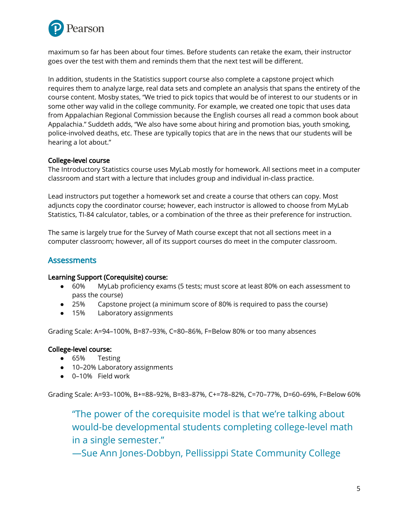

maximum so far has been about four times. Before students can retake the exam, their instructor goes over the test with them and reminds them that the next test will be different.

In addition, students in the Statistics support course also complete a capstone project which requires them to analyze large, real data sets and complete an analysis that spans the entirety of the course content. Mosby states, "We tried to pick topics that would be of interest to our students or in some other way valid in the college community. For example, we created one topic that uses data from Appalachian Regional Commission because the English courses all read a common book about Appalachia." Suddeth adds, "We also have some about hiring and promotion bias, youth smoking, police-involved deaths, etc. These are typically topics that are in the news that our students will be hearing a lot about."

### College-level course

The Introductory Statistics course uses MyLab mostly for homework. All sections meet in a computer classroom and start with a lecture that includes group and individual in-class practice.

Lead instructors put together a homework set and create a course that others can copy. Most adjuncts copy the coordinator course; however, each instructor is allowed to choose from MyLab Statistics, TI-84 calculator, tables, or a combination of the three as their preference for instruction.

The same is largely true for the Survey of Math course except that not all sections meet in a computer classroom; however, all of its support courses do meet in the computer classroom.

### **Assessments**

#### Learning Support (Corequisite) course:

- 60% MyLab proficiency exams (5 tests; must score at least 80% on each assessment to pass the course)
- 25% Capstone project (a minimum score of 80% is required to pass the course)
- 15% Laboratory assignments

Grading Scale: A=94–100%, B=87–93%, C=80–86%, F=Below 80% or too many absences

### College-level course:

- 65% Testing
- 10-20% Laboratory assignments
- 0–10% Field work

Grading Scale: A=93–100%, B+=88–92%, B=83–87%, C+=78–82%, C=70–77%, D=60–69%, F=Below 60%

"The power of the corequisite model is that we're talking about would-be developmental students completing college-level math in a single semester."

—Sue Ann Jones-Dobbyn, Pellissippi State Community College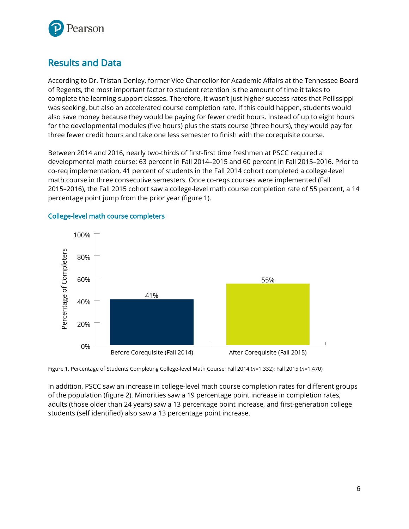

### Results and Data

According to Dr. Tristan Denley, former Vice Chancellor for Academic Affairs at the Tennessee Board of Regents, the most important factor to student retention is the amount of time it takes to complete the learning support classes. Therefore, it wasn't just higher success rates that Pellissippi was seeking, but also an accelerated course completion rate. If this could happen, students would also save money because they would be paying for fewer credit hours. Instead of up to eight hours for the developmental modules (five hours) plus the stats course (three hours), they would pay for three fewer credit hours and take one less semester to finish with the corequisite course.

Between 2014 and 2016, nearly two-thirds of first-first time freshmen at PSCC required a developmental math course: 63 percent in Fall 2014–2015 and 60 percent in Fall 2015–2016. Prior to co-req implementation, 41 percent of students in the Fall 2014 cohort completed a college-level math course in three consecutive semesters. Once co-reqs courses were implemented (Fall 2015–2016), the Fall 2015 cohort saw a college-level math course completion rate of 55 percent, a 14 percentage point jump from the prior year (figure 1).



### College-level math course completers

Figure 1. Percentage of Students Completing College-level Math Course; Fall 2014 (*n*=1,332); Fall 2015 (*n*=1,470)

In addition, PSCC saw an increase in college-level math course completion rates for different groups of the population (figure 2). Minorities saw a 19 percentage point increase in completion rates, adults (those older than 24 years) saw a 13 percentage point increase, and first-generation college students (self identified) also saw a 13 percentage point increase.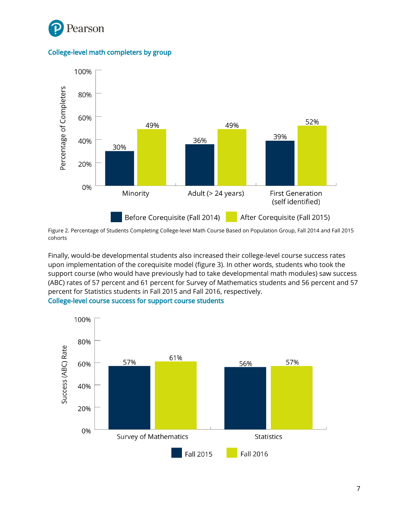

College-level math completers by group



Figure 2. Percentage of Students Completing College-level Math Course Based on Population Group, Fall 2014 and Fall 2015 cohorts

Finally, would-be developmental students also increased their college-level course success rates upon implementation of the corequisite model (figure 3). In other words, students who took the support course (who would have previously had to take developmental math modules) saw success (ABC) rates of 57 percent and 61 percent for Survey of Mathematics students and 56 percent and 57 percent for Statistics students in Fall 2015 and Fall 2016, respectively.



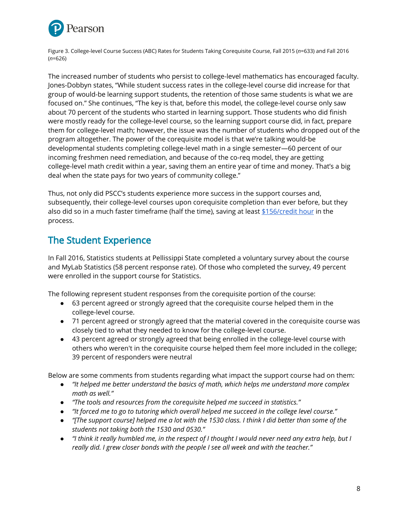

Figure 3. College-level Course Success (ABC) Rates for Students Taking Corequisite Course, Fall 2015 (*n*=633) and Fall 2016 (*n*=626)

The increased number of students who persist to college-level mathematics has encouraged faculty. Jones-Dobbyn states, "While student success rates in the college-level course did increase for that group of would-be learning support students, the retention of those same students is what we are focused on." She continues, "The key is that, before this model, the college-level course only saw about 70 percent of the students who started in learning support. Those students who did finish were mostly ready for the college-level course, so the learning support course did, in fact, prepare them for college-level math; however, the issue was the number of students who dropped out of the program altogether. The power of the corequisite model is that we're talking would-be developmental students completing college-level math in a single semester—60 percent of our incoming freshmen need remediation, and because of the co-req model, they are getting college-level math credit within a year, saving them an entire year of time and money. That's a big deal when the state pays for two years of community college."

Thus, not only did PSCC's students experience more success in the support courses and, subsequently, their college-level courses upon corequisite completion than ever before, but they also did so in a much faster timeframe (half the time), saving at least  $$156/credit hour$  $$156/credit hour$  in the process.

# The Student Experience

In Fall 2016, Statistics students at Pellissippi State completed a voluntary survey about the course and MyLab Statistics (58 percent response rate). Of those who completed the survey, 49 percent were enrolled in the support course for Statistics.

The following represent student responses from the corequisite portion of the course:

- 63 percent agreed or strongly agreed that the corequisite course helped them in the college-level course.
- 71 percent agreed or strongly agreed that the material covered in the corequisite course was closely tied to what they needed to know for the college-level course.
- 43 percent agreed or strongly agreed that being enrolled in the college-level course with others who weren't in the corequisite course helped them feel more included in the college; 39 percent of responders were neutral

Below are some comments from students regarding what impact the support course had on them:

- *● "It helped me better understand the basics of math, which helps me understand more complex math as well."*
- *● "The tools and resources from the corequisite helped me succeed in statistics."*
- *● "It forced me to go to tutoring which overall helped me succeed in the college level course."*
- "[The support course] helped me a lot with the 1530 class. I think I did better than some of the *students not taking both the 1530 and 0530."*
- "I think it really humbled me, in the respect of I thought I would never need any extra help, but I *really did. I grew closer bonds with the people I see all week and with the teacher."*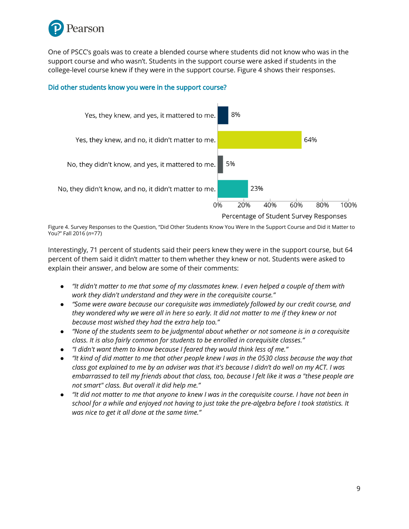

One of PSCC's goals was to create a blended course where students did not know who was in the support course and who wasn't. Students in the support course were asked if students in the college-level course knew if they were in the support course. Figure 4 shows their responses.

#### Did other students know you were in the support course?



Figure 4. Survey Responses to the Question, "Did Other Students Know You Were In the Support Course and Did it Matter to You?" Fall 2016 (*n*=77)

Interestingly, 71 percent of students said their peers knew they were in the support course, but 64 percent of them said it didn't matter to them whether they knew or not. Students were asked to explain their answer, and below are some of their comments:

- "It didn't matter to me that some of my classmates knew. I even helped a couple of them with *work they didn't understand and they were in the corequisite course."*
- *● "Some were aware because our corequisite was immediately followed by our credit course, and* they wondered why we were all in here so early. It did not matter to me if they knew or not *because most wished they had the extra help too."*
- *● "None of the students seem to be judgmental about whether or not someone is in a corequisite class. It is also fairly common for students to be enrolled in corequisite classes."*
- *● "I didn't want them to know because I feared they would think less of me."*
- "It kind of did matter to me that other people knew I was in the 0530 class because the way that class got explained to me by an adviser was that it's because I didn't do well on my ACT. I was embarrassed to tell my friends about that class, too, because I felt like it was a "these people are *not smart" class. But overall it did help me."*
- "It did not matter to me that anyone to knew I was in the coreguisite course. I have not been in school for a while and enjoyed not having to just take the pre-algebra before I took statistics. It *was nice to get it all done at the same time."*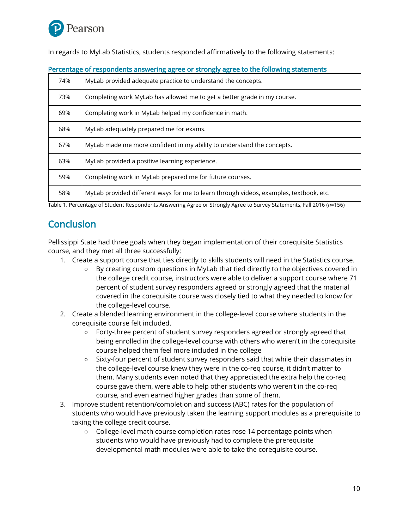

In regards to MyLab Statistics, students responded affirmatively to the following statements:

| 74% | MyLab provided adequate practice to understand the concepts.                           |
|-----|----------------------------------------------------------------------------------------|
| 73% | Completing work MyLab has allowed me to get a better grade in my course.               |
| 69% | Completing work in MyLab helped my confidence in math.                                 |
| 68% | MyLab adequately prepared me for exams.                                                |
| 67% | MyLab made me more confident in my ability to understand the concepts.                 |
| 63% | MyLab provided a positive learning experience.                                         |
| 59% | Completing work in MyLab prepared me for future courses.                               |
| 58% | MyLab provided different ways for me to learn through videos, examples, textbook, etc. |

#### Percentage of respondents answering agree or strongly agree to the following statements

Table 1. Percentage of Student Respondents Answering Agree or Strongly Agree to Survey Statements, Fall 2016 (*n*=156)

### **Conclusion**

Pellissippi State had three goals when they began implementation of their corequisite Statistics course, and they met all three successfully:

- 1. Create a support course that ties directly to skills students will need in the Statistics course.
	- By creating custom questions in MyLab that tied directly to the objectives covered in the college credit course, instructors were able to deliver a support course where 71 percent of student survey responders agreed or strongly agreed that the material covered in the corequisite course was closely tied to what they needed to know for the college-level course.
- 2. Create a blended learning environment in the college-level course where students in the corequisite course felt included.
	- Forty-three percent of student survey responders agreed or strongly agreed that being enrolled in the college-level course with others who weren't in the corequisite course helped them feel more included in the college
	- Sixty-four percent of student survey responders said that while their classmates in the college-level course knew they were in the co-req course, it didn't matter to them. Many students even noted that they appreciated the extra help the co-req course gave them, were able to help other students who weren't in the co-req course, and even earned higher grades than some of them.
- 3. Improve student retention/completion and success (ABC) rates for the population of students who would have previously taken the learning support modules as a prerequisite to taking the college credit course.
	- College-level math course completion rates rose 14 percentage points when students who would have previously had to complete the prerequisite developmental math modules were able to take the corequisite course.